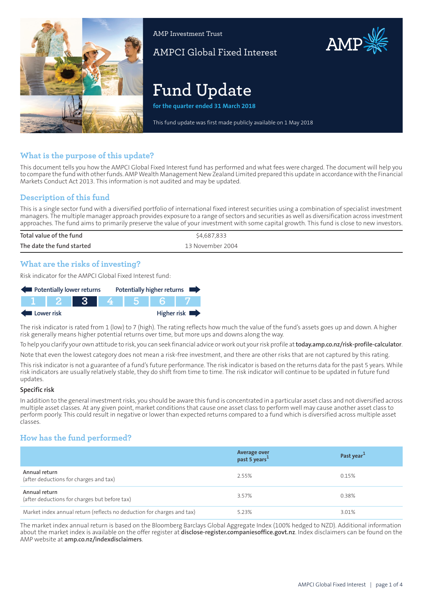

AMP Investment Trust

AMPCI Global Fixed Interest

# **Fund Update**

**for the quarter ended 31 March 2018**

This fund update was first made publicly available on 1 May 2018

## **What is the purpose of this update?**

This document tells you how the AMPCI Global Fixed Interest fund has performed and what fees were charged. The document will help you to compare the fund with other funds. AMP Wealth Management New Zealand Limited prepared this update in accordance with the Financial Markets Conduct Act 2013. This information is not audited and may be updated.

## **Description of this fund**

This is a single sector fund with a diversified portfolio of international fixed interest securities using a combination of specialist investment managers. The multiple manager approach provides exposure to a range of sectors and securities as well as diversification across investment approaches. The fund aims to primarily preserve the value of your investment with some capital growth. This fund is close to new investors.

| Total value of the fund   | \$4,687,833      |
|---------------------------|------------------|
| The date the fund started | 13 November 2004 |

#### **What are the risks of investing?**

Risk indicator for the AMPCI Global Fixed Interest fund:



The risk indicator is rated from 1 (low) to 7 (high). The rating reflects how much the value of the fund's assets goes up and down. A higher risk generally means higher potential returns over time, but more ups and downs along the way.

To help you clarify your own attitude to risk, you can seek financial advice orwork out yourrisk profile at**[today.amp.co.nz/risk-profile-calculator](http://today.amp.co.nz/risk-profile-calculator)**.

Note that even the lowest category does not mean a risk-free investment, and there are other risks that are not captured by this rating.

This risk indicator is not a guarantee of a fund's future performance. The risk indicator is based on the returns data for the past 5 years. While risk indicators are usually relatively stable, they do shift from time to time. The risk indicator will continue to be updated in future fund updates.

#### **Specific risk**

In addition to the general investmentrisks, you should be aware this fund is concentrated in a particular asset class and not diversified across multiple asset classes. At any given point, market conditions that cause one asset class to perform well may cause another asset class to perform poorly. This could result in negative or lower than expected returns compared to a fund which is diversified across multiple asset classes.

## **How has the fund performed?**

|                                                                        | Average over<br>past 5 years <sup>1</sup> | Past year <sup>1</sup> |
|------------------------------------------------------------------------|-------------------------------------------|------------------------|
| Annual return<br>(after deductions for charges and tax)                | 2.55%                                     | 0.15%                  |
| Annual return<br>(after deductions for charges but before tax)         | 3.57%                                     | 0.38%                  |
| Market index annual return (reflects no deduction for charges and tax) | 5.23%                                     | 3.01%                  |

The market index annual return is based on the Bloomberg Barclays Global Aggregate Index (100% hedged to NZD). Additional information about the market index is available on the offer register at **[disclose-register.companiesoffice.govt.nz](https://disclose-register.companiesoffice.govt.nz/)**. Index disclaimers can be found on the AMP website at **[amp.co.nz/indexdisclaimers](http://amp.co.nz/indexdisclaimers)**.

AMP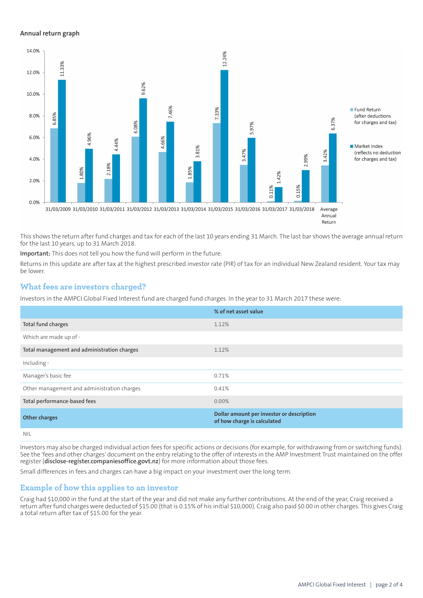#### **Annual return graph**



This shows the return after fund charges and tax for each of the last 10 years ending 31 March. The last bar shows the average annual return for the last 10 years, up to 31 March 2018.

**Important:** This does not tell you how the fund will perform in the future.

Returns in this update are after tax at the highest prescribed investor rate (PIR) of tax for an individual New Zealand resident. Your tax may be lower.

## **What fees are investors charged?**

Investors in the AMPCI Global Fixed Interest fund are charged fund charges. In the year to 31 March 2017 these were:

|                                             | % of net asset value                                                     |
|---------------------------------------------|--------------------------------------------------------------------------|
| Total fund charges                          | 1.12%                                                                    |
| Which are made up of -                      |                                                                          |
| Total management and administration charges | 1.12%                                                                    |
| Including -                                 |                                                                          |
| Manager's basic fee                         | 0.71%                                                                    |
| Other management and administration charges | 0.41%                                                                    |
| Total performance-based fees                | $0.00\%$                                                                 |
| <b>Other charges</b>                        | Dollar amount per investor or description<br>of how charge is calculated |
| <b>NIL</b>                                  |                                                                          |

Investors may also be charged individual action fees for specific actions or decisions (for example, for withdrawing from or switching funds). See the 'fees and other charges' document on the entry relating to the offer of interests in the AMP Investment Trust maintained on the offer register (**[disclose-register.companiesoffice.govt.nz](https://disclose-register.companiesoffice.govt.nz/)**) for more information about those fees.

Small differences in fees and charges can have a big impact on your investment over the long term.

#### **Example of how this applies to an investor**

Craig had \$10,000 in the fund at the start of the year and did not make any further contributions. At the end of the year, Craig received a return after fund charges were deducted of \$15.00 (that is 0.15% of his initial \$10,000). Craig also paid \$0.00 in other charges. This gives Craig a total return after tax of \$15.00 for the year.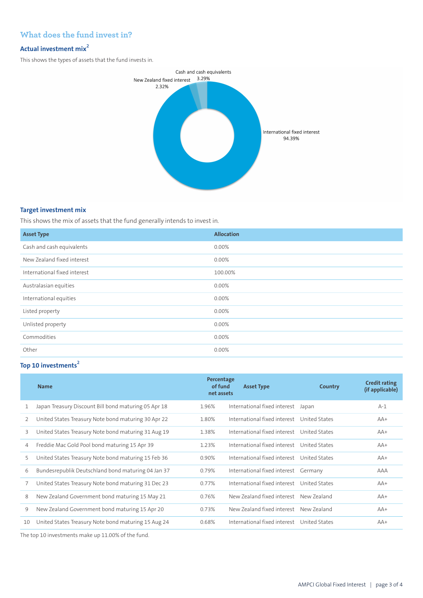## **What does the fund invest in?**

## **Actual investment mix<sup>2</sup>**

This shows the types of assets that the fund invests in.



#### **Target investment mix**

This shows the mix of assets that the fund generally intends to invest in.

| <b>Asset Type</b>            | <b>Allocation</b> |
|------------------------------|-------------------|
| Cash and cash equivalents    | 0.00%             |
| New Zealand fixed interest   | 0.00%             |
| International fixed interest | 100.00%           |
| Australasian equities        | 0.00%             |
| International equities       | 0.00%             |
| Listed property              | 0.00%             |
| Unlisted property            | 0.00%             |
| Commodities                  | 0.00%             |
| Other                        | 0.00%             |

## **Top 10 investments<sup>2</sup>**

|               | <b>Name</b>                                          | Percentage<br>of fund<br>net assets | <b>Asset Type</b>                          | Country       | <b>Credit rating</b><br>(if applicable) |
|---------------|------------------------------------------------------|-------------------------------------|--------------------------------------------|---------------|-----------------------------------------|
|               | Japan Treasury Discount Bill bond maturing 05 Apr 18 | 1.96%                               | International fixed interest               | Japan         | $A-1$                                   |
| $\mathcal{P}$ | United States Treasury Note bond maturing 30 Apr 22  | 1.80%                               | International fixed interest United States |               | $AA+$                                   |
| 3             | United States Treasury Note bond maturing 31 Aug 19  | 1.38%                               | International fixed interest United States |               | $AA+$                                   |
| 4             | Freddie Mac Gold Pool bond maturing 15 Apr 39        | 1.23%                               | International fixed interest United States |               | $AA+$                                   |
| 5             | United States Treasury Note bond maturing 15 Feb 36  | 0.90%                               | International fixed interest United States |               | $AA+$                                   |
| 6             | Bundesrepublik Deutschland bond maturing 04 Jan 37   | 0.79%                               | International fixed interest Germany       |               | AAA                                     |
|               | United States Treasury Note bond maturing 31 Dec 23  | 0.77%                               | International fixed interest United States |               | $AA+$                                   |
| 8             | New Zealand Government bond maturing 15 May 21       | 0.76%                               | New Zealand fixed interest New Zealand     |               | $AA+$                                   |
| 9             | New Zealand Government bond maturing 15 Apr 20       | 0.73%                               | New Zealand fixed interest                 | New Zealand   | $AA+$                                   |
| 10            | United States Treasury Note bond maturing 15 Aug 24  | 0.68%                               | International fixed interest               | United States | $AA+$                                   |

The top 10 investments make up 11.00% of the fund.